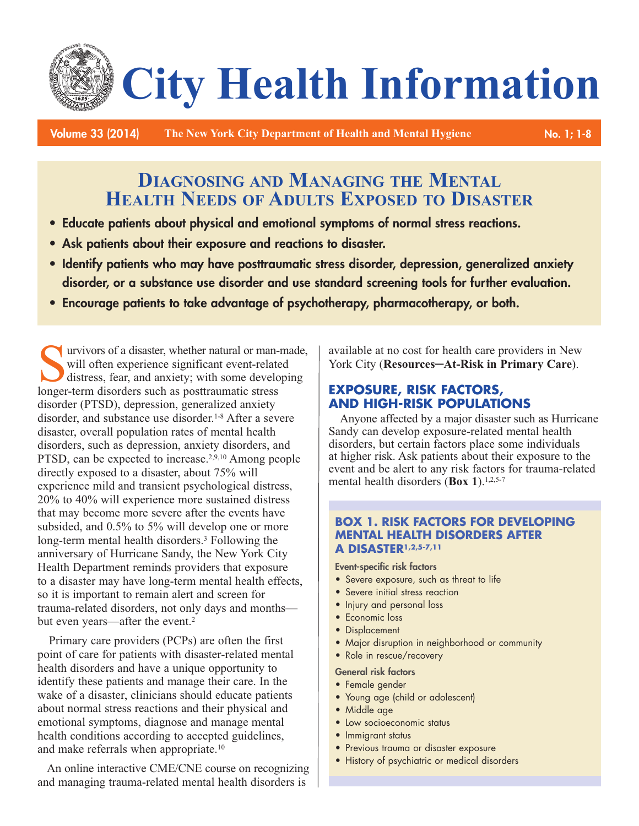# **City health information**

**Volume 33 (2014) the new York City Department of health and Mental hygiene No. 1; 1-8**

## **Diagnosing anD Managing the Mental health Needs** of **ADULTS EXPOSED TO DISASTER**

- **• Educate patients about physical and emotional symptoms of normal stress reactions.**
- **• Ask patients about their exposure and reactions to disaster.**
- **• Identify patients who may have posttraumatic stress disorder, depression, generalized anxiety disorder, or a substance use disorder and use standard screening tools for further evaluation.**
- **• Encourage patients to take advantage of psychotherapy, pharmacotherapy, or both.**

urvivors of a disaster, whether natural or man-made, will often experience significant event-related distress, fear, and anxiety; with some developing longer-term disorders such as posttraumatic stress disorder (PTSD), depression, generalized anxiety disorder, and substance use disorder. 1-8 After a severe disaster, overall population rates of mental health disorders, such as depression, anxiety disorders, and PTSD, can be expected to increase.<sup>2,9,10</sup> Among people directly exposed to a disaster, about 75% will experience mild and transient psychological distress, 20% to 40% will experience more sustained distress that may become more severe after the events have subsided, and  $0.5\%$  to 5% will develop one or more long-term mental health disorders. <sup>3</sup> Following the anniversary of Hurricane Sandy, the New York City Health Department reminds providers that exposure to a disaster may have long-term mental health effects, so it is important to remain alert and screen for trauma-related disorders, not only days and months but even years—after the event. 2

Primary care providers (PCPs) are often the first point of care for patients with disaster-related mental health disorders and have a unique opportunity to identify these patients and manage their care. In the wake of a disaster, clinicians should educate patients about normal stress reactions and their physical and emotional symptoms, diagnose and manage mental health conditions according to accepted guidelines, and make referrals when appropriate. 10

An online interactive CME/CNE course on recognizing and managing trauma-related mental health disorders is

available at no cost for health care providers in New York City (Resources-At-Risk in Primary Care).

## **EXPOSURE, RISK FACTORS, AND HIGH-RISK POPULATIONS**

Anyone affected by a major disaster such as Hurricane Sandy can develop exposure-related mental health disorders, but certain factors place some individuals at higher risk. Ask patients about their exposure to the event and be alert to any risk factors for trauma-related mental health disorders (**Box 1**). 1,2,5-7

## **BOX 1. RISK FACTORS FOR DEVELOPING MENTAL HEALTH DISORDERS AFTER A DISASTER1,2,5-7,11**

**Event-specific risk factors**

- Severe exposure, such as threat to life
- Severe initial stress reaction
- Injury and personal loss
- Fconomic loss
- Displacement
- Major disruption in neighborhood or community
- Role in rescue/recovery

#### **General risk factors**

- Female gender
	- Young age (child or adolescent)
	- Middle age
	- Low socioeconomic status
	- Immigrant status
	- Previous trauma or disaster exposure
	- History of psychiatric or medical disorders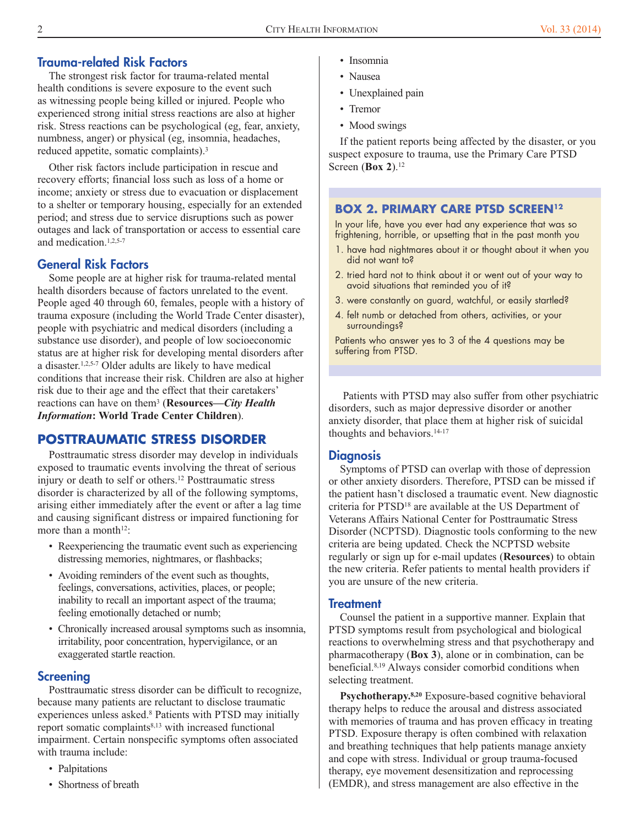## **Trauma-related Risk Factors**

The strongest risk factor for trauma-related mental health conditions is severe exposure to the event such as witnessing people being killed or injured. People who experienced strong initial stress reactions are also at higher risk. Stress reactions can be psychological (eg, fear, anxiety, numbness, anger) or physical (eg, insomnia, headaches, reduced appetite, somatic complaints). 3

Other risk factors include participation in rescue and recovery efforts; financial loss such as loss of a home or income; anxiety or stress due to evacuation or displacement to a shelter or temporary housing, especially for an extended period; and stress due to service disruptions such as power outages and lack of transportation or access to essential care and medication. 1,2,5-7

## **General Risk Factors**

Some people are at higher risk for trauma-related mental health disorders because of factors unrelated to the event. People aged 40 through 60, females, people with a history of trauma exposure (including the World Trade Center disaster), people with psychiatric and medical disorders (including a substance use disorder), and people of low socioeconomic status are at higher risk for developing mental disorders after a disaster. 1,2,5-7 Older adults are likely to have medical conditions that increase their risk. Children are also at higher risk due to their age and the effect that their caretakers' reactions can have on them3 (**resources—***City Health Information***: World trade Center Children**).

## **POSTTRAUMATIC STRESS DISORDER**

Posttraumatic stress disorder may develop in individuals exposed to traumatic events involving the threat of serious injury or death to self or others. <sup>12</sup> Posttraumatic stress disorder is characterized by all of the following symptoms, arising either immediately after the event or after a lag time and causing significant distress or impaired functioning for more than a month<sup>12</sup>

- Reexperiencing the traumatic event such as experiencing distressing memories, nightmares, or flashbacks;
- Avoiding reminders of the event such as thoughts, feelings, conversations, activities, places, or people; inability to recall an important aspect of the trauma; feeling emotionally detached or numb;
- Chronically increased arousal symptoms such as insomnia, irritability, poor concentration, hypervigilance, or an exaggerated startle reaction.

## **Screening**

Posttraumatic stress disorder can be difficult to recognize, because many patients are reluctant to disclose traumatic experiences unless asked. <sup>8</sup> Patients with PTSD may initially report somatic complaints<sup>8,13</sup> with increased functional impairment. Certain nonspecific symptoms often associated with trauma include:

- Palpitations
- Shortness of breath
- Insomnia
- Nausea
- Unexplained pain
- Tremor
- Mood swings

If the patient reports being affected by the disaster, or you suspect exposure to trauma, use the Primary Care PTSD Screen (**Box 2**). 12

## **BOX 2. PRIMARY CARE PTSD SCREEN12**

In your life, have you ever had any experience that was so frightening, horrible, or upsetting that in the past month you

- 1. have had nightmares about it or thought about it when you did not want to?
- 2. tried hard not to think about it or went out of your way to avoid situations that reminded you of it?
- 3. were constantly on guard, watchful, or easily startled?
- 4. felt numb or detached from others, activities, or your surroundings?

Patients who answer yes to 3 of the 4 questions may be suffering from PTSD.

Patients with PTSD may also suffer from other psychiatric disorders, such as major depressive disorder or another anxiety disorder, that place them at higher risk of suicidal thoughts and behaviors. 14-17

## **Diagnosis**

Symptoms of PTSD can overlap with those of depression or other anxiety disorders. Therefore, PTSD can be missed if the patient hasn't disclosed a traumatic event. New diagnostic criteria for PTSD18 are available at the US Department of Veterans Affairs National Center for Posttraumatic Stress Disorder (NCPTSD). Diagnostic tools conforming to the new criteria are being updated. Check the NCPTSD website regularly or sign up for e-mail updates (**resources**) to obtain the new criteria. Refer patients to mental health providers if you are unsure of the new criteria.

#### **Treatment**

Counsel the patient in a supportive manner. Explain that PTSD symptoms result from psychological and biological reactions to overwhelming stress and that psychotherapy and pharmacotherapy (**Box 3**), alone or in combination, can be beneficial. 8,19 Always consider comorbid conditions when selecting treatment.

**psychotherapy. 8,20** Exposure-based cognitive behavioral therapy helps to reduce the arousal and distress associated with memories of trauma and has proven efficacy in treating PTSD. Exposure therapy is often combined with relaxation and breathing techniques that help patients manage anxiety and cope with stress. Individual or group trauma-focused therapy, eye movement desensitization and reprocessing (EMDR), and stress management are also effective in the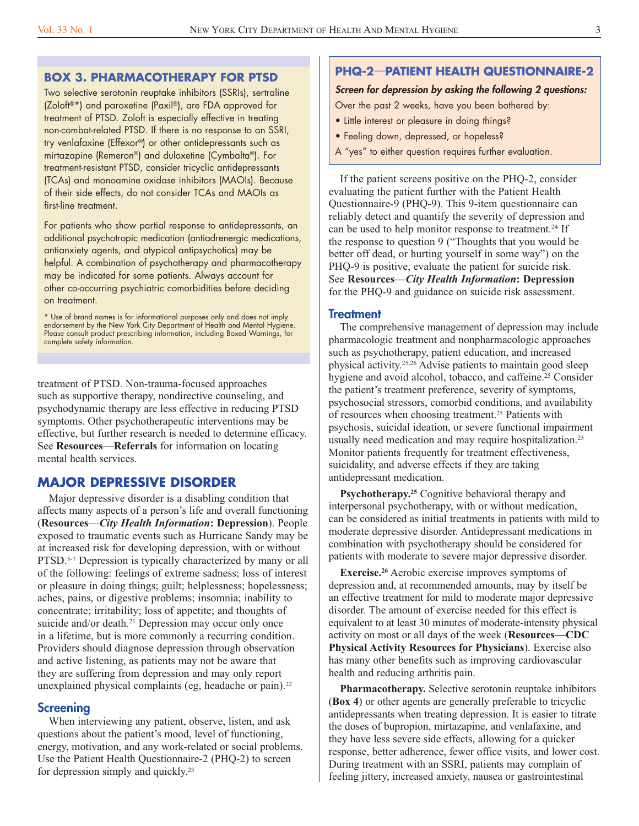#### **BOX 3. PHARMACOTHERAPY FOR PTSD**

Two selective serotonin reuptake inhibitors (SSRIs), sertraline (Zoloft ®\*) and paroxetine (Paxil ®), are FDA approved for treatment of PTSD. Zoloft is especially effective in treating non-combat-related PTSD. If there is no response to an SSRI, try venlafaxine (Effexor®) or other antidepressants such as mirtazapine (Remeron®) and duloxetine (Cymbalta®). For treatment-resistant PTSD, consider tricyclic antidepressants (TCAs) and monoamine oxidase inhibitors (MAOIs). Because of their side effects, do not consider TCAs and MAOIs as first-line treatment.

For patients who show partial response to antidepressants, an additional psychotropic medication (antiadrenergic medications, antianxiety agents, and atypical antipsychotics) may be helpful. A combination of psychotherapy and pharmacotherapy may be indicated for some patients. Always account for other co-occurring psychiatric comorbidities before deciding on treatment.

\* Use of brand names is for informational purposes only and does not imply endorsement by the New York City Department of Health and Mental Hygiene. Please consult product prescribing information, including Boxed Warnings, for complete safety information.

treatment of PTSD. Non-trauma-focused approaches such as supportive therapy, nondirective counseling, and psychodynamic therapy are less effective in reducing PTSD symptoms. Other psychotherapeutic interventions may be effective, but further research is needed to determine efficacy. See **Resources—Referrals** for information on locating mental health services.

## **MAJOR DEPRESSIVE DISORDER**

Major depressive disorder is a disabling condition that affects many aspects of a person's life and overall functioning (**resources—***City Health Information***: Depression**). People exposed to traumatic events such as Hurricane Sandy may be at increased risk for developing depression, with or without PTSD.<sup>5-7</sup> Depression is typically characterized by many or all of the following: feelings of extreme sadness; loss of interest or pleasure in doing things; guilt; helplessness; hopelessness; aches, pains, or digestive problems; insomnia; inability to concentrate; irritability; loss of appetite; and thoughts of suicide and/or death.<sup>21</sup> Depression may occur only once in a lifetime, but is more commonly a recurring condition. Providers should diagnose depression through observation and active listening, as patients may not be aware that they are suffering from depression and may only report unexplained physical complaints (eg, headache or pain). 22

#### **Screening**

When interviewing any patient, observe, listen, and ask questions about the patient's mood, level of functioning, energy, motivation, and any work-related or social problems. Use the Patient Health Questionnaire-2 (PHQ-2) to screen for depression simply and quickly. 23

## **PHQ-2**─**PATIENT HEALTH QUESTIONNAIRE-2**

## *Screen for depression by asking the following 2 questions:*

Over the past 2 weeks, have you been bothered by:

- Little interest or pleasure in doing things?
- Feeling down, depressed, or hopeless?
- A "yes" to either question requires further evaluation.

If the patient screens positive on the PHQ-2, consider evaluating the patient further with the Patient Health Questionnaire-9 (PHQ-9). This 9-item questionnaire can reliably detect and quantify the severity of depression and can be used to help monitor response to treatment. <sup>24</sup> If the response to question 9 ("Thoughts that you would be better off dead, or hurting yourself in some way") on the PHQ-9 is positive, evaluate the patient for suicide risk. See **resources—***City Health Information***: Depression** for the PHQ-9 and guidance on suicide risk assessment.

#### **Treatment**

The comprehensive management of depression may include pharmacologic treatment and nonpharmacologic approaches such as psychotherapy, patient education, and increased physical activity. 25,26 Advise patients to maintain good sleep hygiene and avoid alcohol, tobacco, and caffeine. <sup>25</sup> Consider the patient's treatment preference, severity of symptoms, psychosocial stressors, comorbid conditions, and availability of resources when choosing treatment. <sup>25</sup> Patients with psychosis, suicidal ideation, or severe functional impairment usually need medication and may require hospitalization. 25 Monitor patients frequently for treatment effectiveness, suicidality, and adverse effects if they are taking antidepressant medication.

**psychotherapy. <sup>25</sup>** Cognitive behavioral therapy and interpersonal psychotherapy, with or without medication, can be considered as initial treatments in patients with mild to moderate depressive disorder. Antidepressant medications in combination with psychotherapy should be considered for patients with moderate to severe major depressive disorder.

**exercise. <sup>26</sup>** Aerobic exercise improves symptoms of depression and, at recommended amounts, may by itself be an effective treatment for mild to moderate major depressive disorder. The amount of exercise needed for this effect is equivalent to at least 30 minutes of moderate-intensity physical activity on most or all days of the week (**resources—CDC physical activity resources for physicians**). Exercise also has many other benefits such as improving cardiovascular health and reducing arthritis pain.

**pharmacotherapy.** Selective serotonin reuptake inhibitors (**Box 4**) or other agents are generally preferable to tricyclic antidepressants when treating depression. It is easier to titrate the doses of bupropion, mirtazapine, and venlafaxine, and they have less severe side effects, allowing for a quicker response, better adherence, fewer office visits, and lower cost. During treatment with an SSRI, patients may complain of feeling jittery, increased anxiety, nausea or gastrointestinal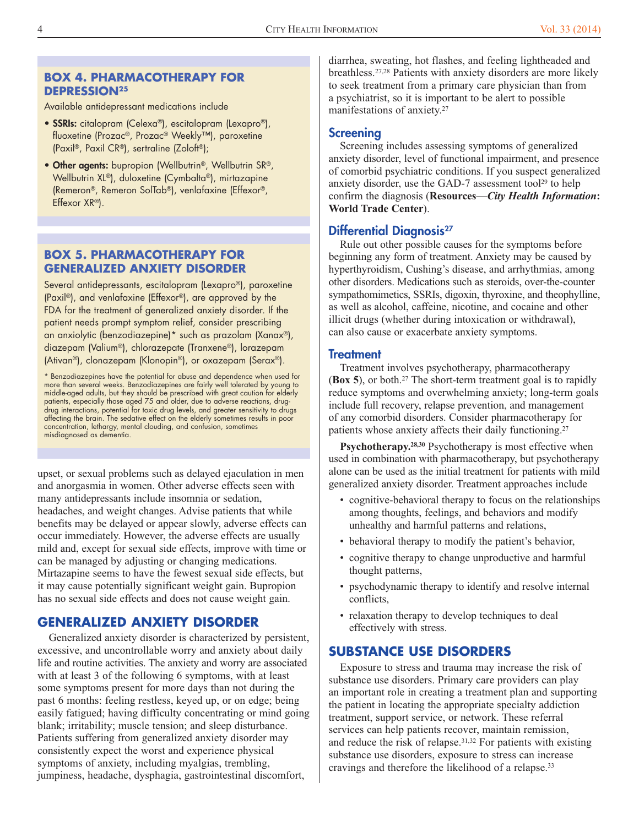#### **BOX 4. PHARMACOTHERAPY FOR DEPRESSION25**

Available antidepressant medications include

- **SSRIs:** citalopram (Celexa®), escitalopram (Lexapro®), fluoxetine (Prozac®, Prozac® Weekly™), paroxetine (Paxil ®, Paxil CR®), sertraline (Zoloft ®);
- **Other agents:** bupropion (Wellbutrin®, Wellbutrin SR®, Wellbutrin XL®), duloxetine (Cymbalta®), mirtazapine (Remeron®, Remeron SolTab®), venlafaxine (Effexor®, Effexor XR®).

## **BOX 5. PHARMACOTHERAPY FOR GENERALIZED ANXIETY DISORDER**

Several antidepressants, escitalopram (Lexapro®), paroxetine (Paxil ®), and venlafaxine (Effexor®), are approved by the FDA for the treatment of generalized anxiety disorder. If the patient needs prompt symptom relief, consider prescribing an anxiolytic (benzodiazepine)\* such as prazolam (Xanax®), diazepam (Valium®), chlorazepate (Tranxene®), lorazepam (Ativan®), clonazepam (Klonopin®), or oxazepam (Serax®).

\* Benzodiazepines have the potential for abuse and dependence when used for more than several weeks. Benzodiazepines are fairly well tolerated by young to middle-aged adults, but they should be prescribed with great caution for elderly patients, especially those aged 75 and older, due to adverse reactions, drugdrug interactions, potential for toxic drug levels, and greater sensitivity to drugs affecting the brain. The sedative effect on the elderly sometimes results in poor concentration, lethargy, mental clouding, and confusion, sometimes misdiagnosed as dementia.

upset, or sexual problems such as delayed ejaculation in men and anorgasmia in women. Other adverse effects seen with many antidepressants include insomnia or sedation, headaches, and weight changes. Advise patients that while benefits may be delayed or appear slowly, adverse effects can occur immediately. However, the adverse effects are usually mild and, except for sexual side effects, improve with time or can be managed by adjusting or changing medications. Mirtazapine seems to have the fewest sexual side effects, but it may cause potentially significant weight gain. Bupropion has no sexual side effects and does not cause weight gain.

## **GENERALIZED ANXIETY DISORDER**

Generalized anxiety disorder is characterized by persistent, excessive, and uncontrollable worry and anxiety about daily life and routine activities. The anxiety and worry are associated with at least 3 of the following 6 symptoms, with at least some symptoms present for more days than not during the past 6 months: feeling restless, keyed up, or on edge; being easily fatigued; having difficulty concentrating or mind going blank; irritability; muscle tension; and sleep disturbance. Patients suffering from generalized anxiety disorder may consistently expect the worst and experience physical symptoms of anxiety, including myalgias, trembling, jumpiness, headache, dysphagia, gastrointestinal discomfort,

diarrhea, sweating, hot flashes, and feeling lightheaded and breathless. 27,28 Patients with anxiety disorders are more likely to seek treatment from a primary care physician than from a psychiatrist, so it is important to be alert to possible manifestations of anxiety. 27

#### **Screening**

Screening includes assessing symptoms of generalized anxiety disorder, level of functional impairment, and presence of comorbid psychiatric conditions. If you suspect generalized anxiety disorder, use the GAD-7 assessment tool<sup>29</sup> to help confirm the diagnosis (**resources—***City Health Information***: World trade Center**).

## **Differential Diagnosis<sup>27</sup>**

Rule out other possible causes for the symptoms before beginning any form of treatment. Anxiety may be caused by hyperthyroidism, Cushing's disease, and arrhythmias, among other disorders. Medications such as steroids, over-the-counter sympathomimetics, SSRIs, digoxin, thyroxine, and theophylline, as well as alcohol, caffeine, nicotine, and cocaine and other illicit drugs (whether during intoxication or withdrawal), can also cause or exacerbate anxiety symptoms.

#### **Treatment**

Treatment involves psychotherapy, pharmacotherapy (**Box 5**), or both. <sup>27</sup> The short-term treatment goal is to rapidly reduce symptoms and overwhelming anxiety; long-term goals include full recovery, relapse prevention, and management of any comorbid disorders. Consider pharmacotherapy for patients whose anxiety affects their daily functioning.<sup>27</sup>

Psychotherapy.<sup>28,30</sup> Psychotherapy is most effective when used in combination with pharmacotherapy, but psychotherapy alone can be used as the initial treatment for patients with mild generalized anxiety disorder. Treatment approaches include

- cognitive-behavioral therapy to focus on the relationships among thoughts, feelings, and behaviors and modify unhealthy and harmful patterns and relations,
- behavioral therapy to modify the patient's behavior,
- cognitive therapy to change unproductive and harmful thought patterns,
- psychodynamic therapy to identify and resolve internal conflicts,
- relaxation therapy to develop techniques to deal effectively with stress.

## **SUBSTANCE USE DISORDERS**

Exposure to stress and trauma may increase the risk of substance use disorders. Primary care providers can play an important role in creating a treatment plan and supporting the patient in locating the appropriate specialty addiction treatment, support service, or network. These referral services can help patients recover, maintain remission, and reduce the risk of relapse. 31,32 For patients with existing substance use disorders, exposure to stress can increase cravings and therefore the likelihood of a relapse. 33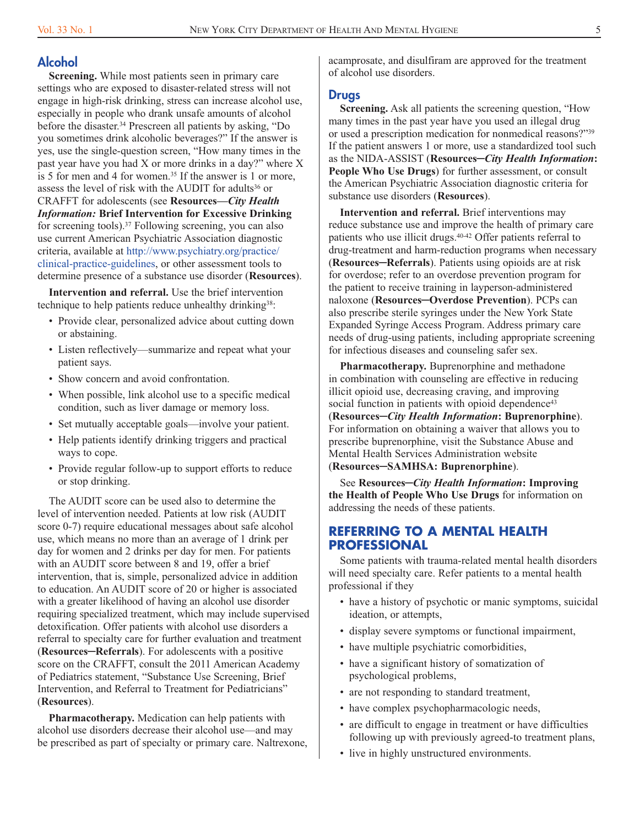## **Alcohol**

**screening.** While most patients seen in primary care settings who are exposed to disaster-related stress will not engage in high-risk drinking, stress can increase alcohol use, especially in people who drank unsafe amounts of alcohol before the disaster. <sup>34</sup> Prescreen all patients by asking, "Do you sometimes drink alcoholic beverages?" If the answer is yes, use the single-question screen, "How many times in the past year have you had X or more drinks in a day?" where X is 5 for men and 4 for women. <sup>35</sup> If the answer is 1 or more, assess the level of risk with the AUDIT for adults<sup>36</sup> or CRAFFT for adolescents (see **resources—***City Health Information:* **Brief intervention for excessive Drinking** for screening tools). <sup>37</sup> Following screening, you can also use current American Psychiatric Association diagnostic criteria, available at http://www.psychiatry.org/practice/ clinical-practice-guidelines, or other assessment tools to determine presence of a substance use disorder (**resources**).

**intervention and referral.** Use the brief intervention technique to help patients reduce unhealthy drinking<sup>38</sup>:

- Provide clear, personalized advice about cutting down or abstaining.
- Listen reflectively—summarize and repeat what your patient says.
- Show concern and avoid confrontation.
- When possible, link alcohol use to a specific medical condition, such as liver damage or memory loss.
- Set mutually acceptable goals—involve your patient.
- Help patients identify drinking triggers and practical ways to cope.
- Provide regular follow-up to support efforts to reduce or stop drinking.

The AUDIT score can be used also to determine the level of intervention needed. Patients at low risk (AUDIT score 0-7) require educational messages about safe alcohol use, which means no more than an average of 1 drink per day for women and 2 drinks per day for men. For patients with an AUDIT score between 8 and 19, offer a brief intervention, that is, simple, personalized advice in addition to education. An AUDIT score of 20 or higher is associated with a greater likelihood of having an alcohol use disorder requiring specialized treatment, which may include supervised detoxification. Offer patients with alcohol use disorders a referral to specialty care for further evaluation and treatment (**resources─referrals**). For adolescents with a positive score on the CRAFFT, consult the 2011 American Academy of Pediatrics statement, "Substance Use Screening, Brief Intervention, and Referral to Treatment for Pediatricians" (**resources**).

**pharmacotherapy.** Medication can help patients with alcohol use disorders decrease their alcohol use—and may be prescribed as part of specialty or primary care. Naltrexone, acamprosate, and disulfiram are approved for the treatment of alcohol use disorders.

#### **Drugs**

**screening.** Ask all patients the screening question, "How many times in the past year have you used an illegal drug or used a prescription medication for nonmedical reasons?"39 If the patient answers 1 or more, use a standardized tool such as the NIDA-ASSIST (**resources─***City Health Information***: people Who use Drugs**) for further assessment, or consult the American Psychiatric Association diagnostic criteria for substance use disorders (**resources**).

**intervention and referral.** Brief interventions may reduce substance use and improve the health of primary care patients who use illicit drugs. 40-42 Offer patients referral to drug-treatment and harm-reduction programs when necessary (**resources─referrals**). Patients using opioids are at risk for overdose; refer to an overdose prevention program for the patient to receive training in layperson-administered naloxone (**resources─overdose prevention**). PCPs can also prescribe sterile syringes under the New York State Expanded Syringe Access Program. Address primary care needs of drug-using patients, including appropriate screening for infectious diseases and counseling safer sex.

**pharmacotherapy.** Buprenorphine and methadone in combination with counseling are effective in reducing illicit opioid use, decreasing craving, and improving social function in patients with opioid dependence<sup>43</sup> (**resources─***City Health Information***: Buprenorphine**). For information on obtaining a waiver that allows you to prescribe buprenorphine, visit the Substance Abuse and Mental Health Services Administration website (**resources─saMhsa: Buprenorphine**).

See **resources─***City Health Information***: improving the health of people Who use Drugs** for information on addressing the needs of these patients.

## **REFERRING TO A MENTAL HEALTH PROFESSIONAL**

Some patients with trauma-related mental health disorders will need specialty care. Refer patients to a mental health professional if they

- have a history of psychotic or manic symptoms, suicidal ideation, or attempts,
- display severe symptoms or functional impairment,
- have multiple psychiatric comorbidities,
- have a significant history of somatization of psychological problems,
- are not responding to standard treatment,
- have complex psychopharmacologic needs,
- are difficult to engage in treatment or have difficulties following up with previously agreed-to treatment plans,
- live in highly unstructured environments.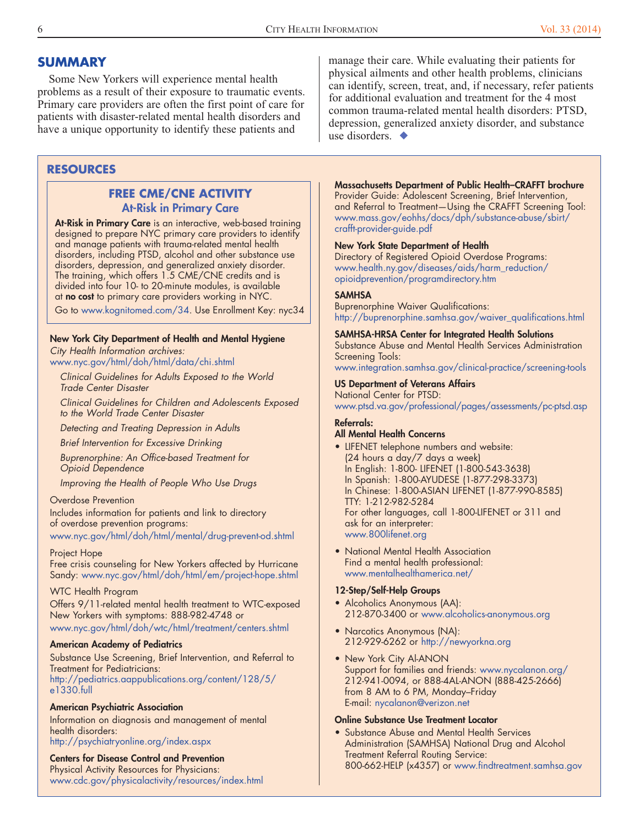## **SUMMARY**

Some New Yorkers will experience mental health problems as a result of their exposure to traumatic events. Primary care providers are often the first point of care for patients with disaster-related mental health disorders and have a unique opportunity to identify these patients and

manage their care. While evaluating their patients for physical ailments and other health problems, clinicians can identify, screen, treat, and, if necessary, refer patients for additional evaluation and treatment for the 4 most common trauma-related mental health disorders: PTSD, depression, generalized anxiety disorder, and substance use disorders.  $\triangleleft$ 

## **RESOURCES**

## **FREE CME/CNE ACTIVITY At-Risk in Primary Care**

**At-Risk in Primary Care** is an interactive, web-based training designed to prepare NYC primary care providers to identify and manage patients with trauma-related mental health disorders, including PTSD, alcohol and other substance use disorders, depression, and generalized anxiety disorder. The training, which offers 1.5 CME/CNE credits and is divided into four 10- to 20-minute modules, is available at **no cost** to primary care providers working in NYC.

Go to www.kognitomed.com/34. Use Enrollment Key: nyc34

#### **New York City Department of Health and Mental Hygiene**

*City Health Information archives:* www.nyc.gov/html/doh/html/data/chi.shtml

 *Clinical Guidelines for Adults Exposed to the World Trade Center Disaster*

 *Clinical Guidelines for Children and Adolescents Exposed to the World Trade Center Disaster*

 *Detecting and Treating Depression in Adults*

 *Brief Intervention for Excessive Drinking*

 *Buprenorphine: An Office-based Treatment for Opioid Dependence*

 *Improving the Health of People Who Use Drugs*

#### Overdose Prevention

Includes information for patients and link to directory of overdose prevention programs: www.nyc.gov/html/doh/html/mental/drug-prevent-od.shtml

Project Hope

Free crisis counseling for New Yorkers affected by Hurricane Sandy: www.nyc.gov/html/doh/html/em/project-hope.shtml

#### WTC Health Program

Offers 9/11-related mental health treatment to WTC-exposed New Yorkers with symptoms: 888-982-4748 or www.nyc.gov/html/doh/wtc/html/treatment/centers.shtml

#### **American Academy of Pediatrics**

Substance Use Screening, Brief Intervention, and Referral to Treatment for Pediatricians: http://pediatrics.aappublications.org/content/128/5/ e1330.full

#### **American Psychiatric Association**

Information on diagnosis and management of mental health disorders: http://psychiatryonline.org/index.aspx

**Centers for Disease Control and Prevention** Physical Activity Resources for Physicians: www.cdc.gov/physicalactivity/resources/index.html

## **Massachusetts Department of Public Health–CRAFFT brochure**

Provider Guide: Adolescent Screening, Brief Intervention, and Referral to Treatment—Using the CRAFFT Screening Tool: www.mass.gov/eohhs/docs/dph/substance-abuse/sbirt/ crafft-provider-guide.pdf

#### **New York State Department of Health**

Directory of Registered Opioid Overdose Programs: www.health.ny.gov/diseases/aids/harm\_reduction/ opioidprevention/programdirectory.htm

#### **SAMHSA**

Buprenorphine Waiver Qualifications: http://buprenorphine.samhsa.gov/waiver\_qualifications.html

#### **SAMHSA-HRSA Center for Integrated Health Solutions**

Substance Abuse and Mental Health Services Administration Screening Tools:

www.integration.samhsa.gov/clinical-practice/screening-tools

#### **US Department of Veterans Affairs**

National Center for PTSD: www.ptsd.va.gov/professional/pages/assessments/pc-ptsd.asp

#### **Referrals: All Mental Health Concerns**

- LIFENET telephone numbers and website: (24 hours a day/7 days a week) In English: 1-800- LIFENET (1-800-543-3638) In Spanish: 1-800-AYUDESE (1-877-298-3373) In Chinese: 1-800-ASIAN LIFENET (1-877-990-8585) TTY: 1-212-982-5284 For other languages, call 1-800-LIFENET or 311 and ask for an interpreter: www.800lifenet.org
- National Mental Health Association Find a mental health professional: www.mentalhealthamerica.net/

#### **12-Step/Self-Help Groups**

- Alcoholics Anonymous (AA): 212-870-3400 or www.alcoholics-anonymous.org
- Narcotics Anonymous (NA): 212-929-6262 or http://newyorkna.org
- New York City Al-ANON Support for families and friends: www.nycalanon.org/ 212-941-0094, or 888-4AL-ANON (888-425-2666) from 8 AM to 6 PM, Monday–Friday E-mail: nycalanon@verizon.net

#### **Online Substance Use Treatment Locator**

• Substance Abuse and Mental Health Services Administration (SAMHSA) National Drug and Alcohol Treatment Referral Routing Service: 800-662-HELP (x4357) or www.findtreatment.samhsa.gov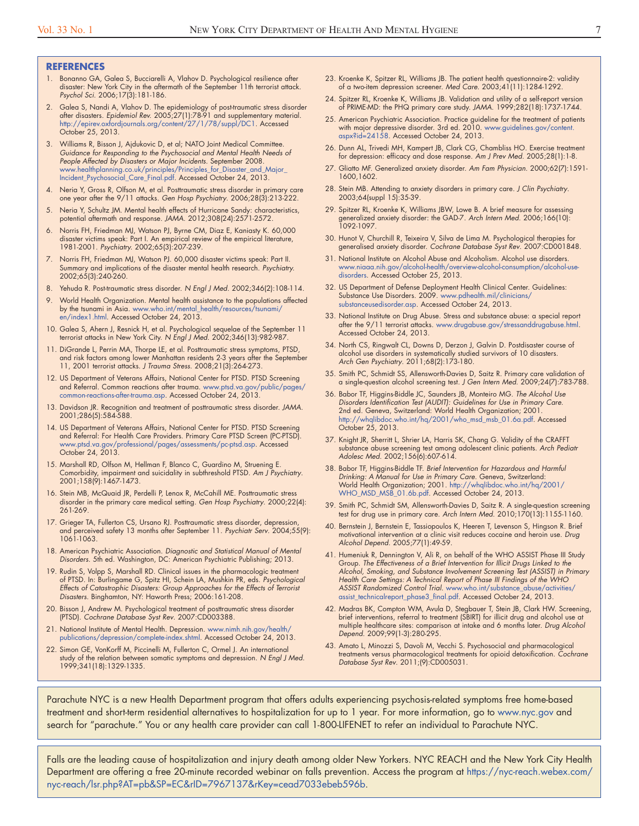#### **REFERENCES**

- 1. Bonanno GA, Galea S, Bucciarelli A, Vlahov D. Psychological resilience after disaster: New York City in the aftermath of the September 11th terrorist attack. *Psychol Sci*. 2006;17(3):181-186.
- 2. Galea S, Nandi A, Vlahov D. The epidemiology of post-traumatic stress disorder after disasters. *Epidemiol Rev.* 2005;27(1):78-91 and supplementary material. http://epirev.oxfordjournals.org/content/27/1/78/suppl/DC1. Accessed October 25, 2013.
- 3. Williams R, Bisson J, Ajdukovic D, et al; NATO Joint Medical Committee. *Guidance for Responding to the Psychosocial and Mental Health Needs of People Affected by Disasters or Major Incidents.* September 2008. www.healthplanning.co.uk/principles/Principles\_for\_Disaster\_and\_Major\_ Incident\_Psychosocial\_Care\_Final.pdf. Accessed October 24, 2013.
- 4. Neria Y, Gross R, Olfson M, et al. Posttraumatic stress disorder in primary care one year after the 9/11 attacks. *Gen Hosp Psychiatry*. 2006;28(3):213-222.
- 5. Neria Y, Schultz JM. Mental health effects of Hurricane Sandy: characteristics, potential aftermath and response. *JAMA*. 2012;308(24):2571-2572.
- 6. Norris FH, Friedman MJ, Watson PJ, Byrne CM, Diaz E, Kaniasty K. 60,000 disaster victims speak: Part I. An empirical review of the empirical literature, 1981-2001. *Psychiatry.* 2002;65(3):207-239.
- 7. Norris FH, Friedman MJ, Watson PJ. 60,000 disaster victims speak: Part II. Summary and implications of the disaster mental health research. *Psychiatry.* 2002;65(3):240-260.
- 8. Yehuda R. Post-traumatic stress disorder. *N Engl J Med.* 2002;346(2):108-114.
- World Health Organization. Mental health assistance to the populations affected by the tsunami in Asia. www.who.int/mental\_health/resources/tsunami/ en/index1.html. Accessed October 24, 2013.
- 10. Galea S, Ahern J, Resnick H, et al. Psychological sequelae of the September 11 terrorist attacks in New York City. *N Engl J Med*. 2002;346(13):982-987.
- 11. DiGrande L, Perrin MA, Thorpe LE, et al. Posttraumatic stress symptoms, PTSD, and risk factors among lower Manhattan residents 2-3 years after the September 11, 2001 terrorist attacks. *J Trauma Stress*. 2008;21(3):264-273.
- 12. US Department of Veterans Affairs, National Center for PTSD. PTSD Screening and Referral. Common reactions after trauma. www.ptsd.va.gov/public/pages/ common-reactions-after-trauma.asp. Accessed October 24, 2013.
- 13. Davidson JR. Recognition and treatment of posttraumatic stress disorder. *JAMA.* 2001;286(5):584-588.
- 14. US Department of Veterans Affairs, National Center for PTSD. PTSD Screening and Referral: For Health Care Providers. Primary Care PTSD Screen (PC-PTSD). www.ptsd.va.gov/professional/pages/assessments/pc-ptsd.asp. Accessed October 24, 2013.
- 15. Marshall RD, Olfson M, Hellman F, Blanco C, Guardino M, Struening E. Comorbidity, impairment and suicidality in subthreshold PTSD. *Am J Psychiatry*. 2001;158(9):1467-1473.
- 16. Stein MB, McQuaid JR, Perdelli P, Lenox R, McCahill ME. Posttraumatic stress disorder in the primary care medical setting. *Gen Hosp Psychiatry*. 2000;22(4): 261-269.
- 17. Grieger TA, Fullerton CS, Ursano RJ. Posttraumatic stress disorder, depression and perceived safety 13 months after September 11. *Psychiatr Serv*. 2004;55(9): 1061-1063.
- 18. American Psychiatric Association. *Diagnostic and Statistical Manual of Mental Disorders*. 5th ed. Washington, DC: American Psychiatric Publishing; 2013.
- 19. Rudin S, Volpp S, Marshall RD. Clinical issues in the pharmacologic treatment of PTSD. In: Burlingame G, Spitz HI, Schein LA, Mushkin PR, eds. *Psychological Effects of Catastrophic Disasters: Group Approaches for the Effects of Terrorist Disasters*. Binghamton, NY: Haworth Press; 2006:161-208.
- 20. Bisson J, Andrew M. Psychological treatment of posttraumatic stress disorder (PTSD). *Cochrane Database Syst Rev*. 2007:CD003388.
- 21. National Institute of Mental Health. Depression. www.nimh.nih.gov/health/ publications/depression/complete-index.shtml. Accessed October 24, 2013.
- 22. Simon GE, VonKorff M, Piccinelli M, Fullerton C, Ormel J. An international study of the relation between somatic symptoms and depression. *N Engl J Med*. 1999;341(18):1329-1335.
- 23. Kroenke K, Spitzer RL, Williams JB. The patient health questionnaire-2: validity of a two-item depression screener. *Med Care*. 2003;41(11):1284-1292.
- 24. Spitzer RL, Kroenke K, Williams JB. Validation and utility of a self-report version of PRIME-MD: the PHQ primary care study. *JAMA*. 1999;282(18):1737-1744.
- 25. American Psychiatric Association. Practice guideline for the treatment of patients with major depressive disorder. 3rd ed. 2010. www.guidelines.gov/content. aspx?id=24158. Accessed October 24, 2013.
- 26. Dunn AL, Trivedi MH, Kampert JB, Clark CG, Chambliss HO. Exercise treatment for depression: efficacy and dose response. *Am J Prev Med*. 2005;28(1):1-8.
- 27. Gliatto MF. Generalized anxiety disorder. *Am Fam Physician*. 2000;62(7):1591- 1600,1602.
- 28. Stein MB. Attending to anxiety disorders in primary care. *J Clin Psychiatry*. 2003;64(suppl 15):35-39.
- 29. Spitzer RL, Kroenke K, Williams JBW, Lowe B. A brief measure for assessing generalized anxiety disorder: the GAD-7. *Arch Intern Med*. 2006;166(10): 1092-1097.
- 30. Hunot V, Churchill R, Teixeira V, Silva de Lima M. Psychological therapies for generalised anxiety disorder. *Cochrane Database Syst Rev*. 2007:CD001848.
- 31. National Institute on Alcohol Abuse and Alcoholism. Alcohol use disorders. www.niaaa.nih.gov/alcohol-health/overview-alcohol-consumption/alcohol-usedisorders. Accessed October 25, 2013.
- 32. US Department of Defense Deployment Health Clinical Center. Guidelines: Substance Use Disorders. 2009. www.pdhealth.mil/clinicians/ substanceusedisorder.asp. Accessed October 24, 2013.
- 33. National Institute on Drug Abuse. Stress and substance abuse: a special report after the 9/11 terrorist attacks. www.drugabuse.gov/stressanddrugabuse.html. Accessed October 24, 2013.
- 34. North CS, Ringwalt CL, Downs D, Derzon J, Galvin D. Postdisaster course of alcohol use disorders in systematically studied survivors of 10 disasters. *Arch Gen Psychiatry*. 2011;68(2):173-180.
- 35. Smith PC, Schmidt SS, Allensworth-Davies D, Saitz R. Primary care validation of a single-question alcohol screening test. *J Gen Intern Med*. 2009;24(7):783-788.
- 36. Babor TF, Higgins-Biddle JC, Saunders JB, Monteiro MG. *The Alcohol Use Disorders Identification Test (AUDIT): Guidelines for Use in Primary Care*. 2nd ed. Geneva, Switzerland: World Health Organization; 2001. http://whqlibdoc.who.int/hq/2001/who\_msd\_msb\_01.6a.pdf. Accessed October 25, 2013.
- 37. Knight JR, Sherritt L, Shrier LA, Harris SK, Chang G. Validity of the CRAFFT substance abuse screening test among adolescent clinic patients. *Arch Pediatr Adolesc Med*. 2002;156(6):607-614.
- 38. Babor TF, Higgins-Biddle TF. *Brief Intervention for Hazardous and Harmful Drinking: A Manual for Use in Primary Care*. Geneva, Switzerland: World Health Organization; 2001. http://whqlibdoc.who.int/hq/2001/ WHO\_MSD\_MSB\_01.6b.pdf. Accessed October 24, 2013.
- 39. Smith PC, Schmidt SM, Allensworth-Davies D, Saitz R. A single-question screening test for drug use in primary care. *Arch Intern Med*. 2010;170(13):1155-1160.
- 40. Bernstein J, Bernstein E, Tassiopoulos K, Heeren T, Levenson S, Hingson R. Brief motivational intervention at a clinic visit reduces cocaine and heroin use. *Drug Alcohol Depend*. 2005;77(1):49-59.
- 41. Humeniuk R, Dennington V, Ali R, on behalf of the WHO ASSIST Phase III Study Group. *The Effectiveness of a Brief Intervention for Illicit Drugs Linked to the Alcohol, Smoking, and Substance Involvement Screening Test (ASSIST) in Primary Health Care Settings: A Technical Report of Phase III Findings of the WHO ASSIST Randomized Control Trial.* www.who.int/substance\_abuse/activities/ assist\_technicalreport\_phase3\_final.pdf. Accessed October 24, 2013.
- 42. Madras BK, Compton WM, Avula D, Stegbauer T, Stein JB, Clark HW. Screening, brief interventions, referral to treatment (SBIRT) for illicit drug and alcohol use at multiple healthcare sites: comparison at intake and 6 months later. *Drug Alcohol Depend*. 2009;99(1-3):280-295.
- 43. Amato L, Minozzi S, Davoli M, Vecchi S. Psychosocial and pharmacological treatments versus pharmacological treatments for opioid detoxification. *Cochrane Database Syst Rev*. 2011;(9):CD005031.

Parachute NYC is a new Health Department program that offers adults experiencing psychosis-related symptoms free home-based treatment and short-term residential alternatives to hospitalization for up to 1 year. For more information, go to www.nyc.gov and search for "parachute." You or any health care provider can call 1-800-LIFENET to refer an individual to Parachute NYC.

Falls are the leading cause of hospitalization and injury death among older New Yorkers. NYC REACH and the New York City Health Department are offering a free 20-minute recorded webinar on falls prevention. Access the program at https://nyc-reach.webex.com/ nyc-reach/lsr.php?AT=pb&SP=EC&rID=7967137&rKey=cead7033ebeb596b.